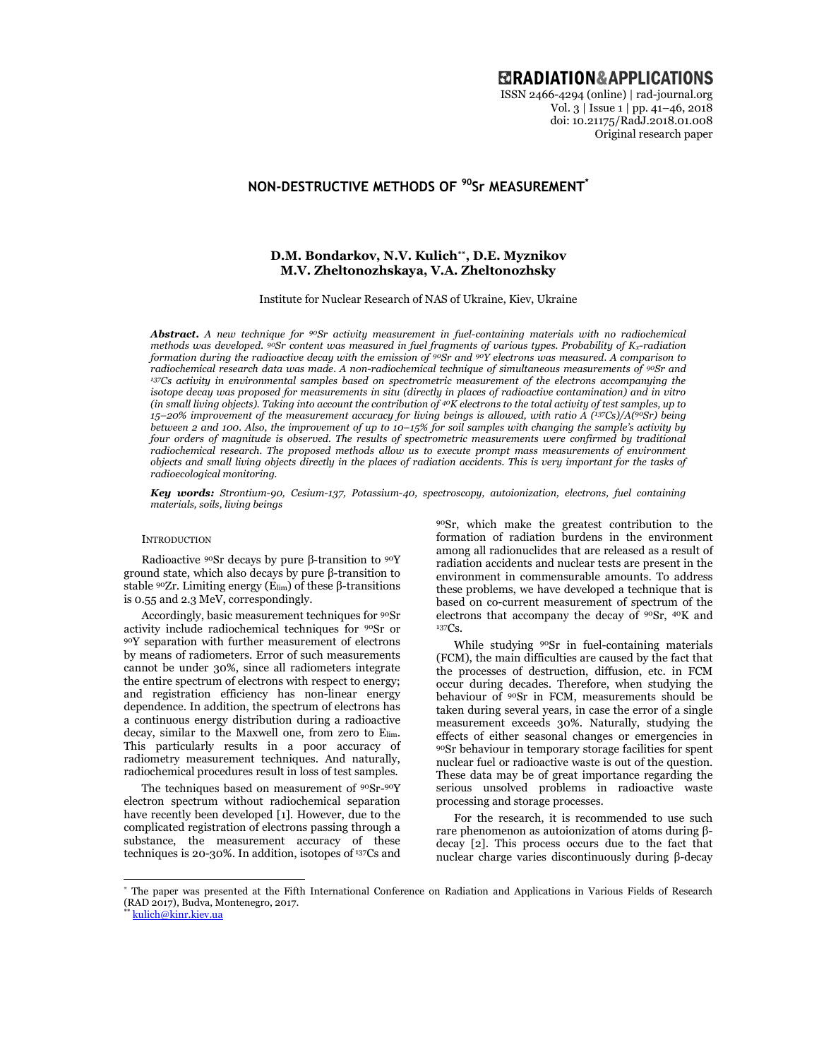**EXADIATION&APPLICATIONS** 

ISSN 2466-4294 (online) | rad-journal.org Vol. 3 | Issue 1 | pp. 41–46, 2018 doi: 10.21175/RadJ.2018.01.008 Original research paper

# NON-DESTRUCTIVE METHODS OF <sup>90</sup>Sr MEASUREMENT<sup>\*</sup>

## D.M. Bondarkov, N.V. Kulich\*\*, D.E. Myznikov M.V. Zheltonozhskaya, V.A. Zheltonozhsky

Institute for Nuclear Research of NAS of Ukraine, Kiev, Ukraine

**Abstract.** A new technique for  $90$ Sr activity measurement in fuel-containing materials with no radiochemical methods was developed.  $\hat{P}$ Sr content was measured in fuel fragments of various types. Probability of K<sub>x</sub>-radiation formation during the radioactive decay with the emission of  $^{90}Sr$  and  $^{90}Y$  electrons was measured. A comparison to radiochemical research data was made. A non-radiochemical technique of simultaneous measurements of 90Sr and <sup>137</sup>Cs activity in environmental samples based on spectrometric measurement of the electrons accompanying the isotope decay was proposed for measurements in situ (directly in places of radioactive contamination) and in vitro (in small living objects). Taking into account the contribution of  $40K$  electrons to the total activity of test samples, up to 15–20% improvement of the measurement accuracy for living beings is allowed, with ratio A  $(^{137}Cs)/A(^{90}Sr)$  being between 2 and 100. Also, the improvement of up to 10–15% for soil samples with changing the sample's activity by four orders of magnitude is observed. The results of spectrometric measurements were confirmed by traditional radiochemical research. The proposed methods allow us to execute prompt mass measurements of environment objects and small living objects directly in the places of radiation accidents. This is very important for the tasks of radioecological monitoring.

Key words: Strontium-90, Cesium-137, Potassium-40, spectroscopy, autoionization, electrons, fuel containing materials, soils, living beings

#### **INTRODUCTION**

Radioactive <sup>90</sup>Sr decays by pure β-transition to <sup>90</sup>Y ground state, which also decays by pure β-transition to stable <sup>90</sup>Zr. Limiting energy (Elim) of these β-transitions is 0.55 and 2.3 MeV, correspondingly.

Accordingly, basic measurement techniques for <sup>90</sup>Sr activity include radiochemical techniques for <sup>90</sup>Sr or <sup>90</sup>Y separation with further measurement of electrons by means of radiometers. Error of such measurements cannot be under 30%, since all radiometers integrate the entire spectrum of electrons with respect to energy; and registration efficiency has non-linear energy dependence. In addition, the spectrum of electrons has a continuous energy distribution during a radioactive decay, similar to the Maxwell one, from zero to Elim. This particularly results in a poor accuracy of radiometry measurement techniques. And naturally, radiochemical procedures result in loss of test samples.

The techniques based on measurement of <sup>90</sup>Sr-<sup>90</sup>Y electron spectrum without radiochemical separation have recently been developed [1]. However, due to the complicated registration of electrons passing through a substance, the measurement accuracy of these techniques is 20-30%. In addition, isotopes of  $137Cs$  and <sup>90</sup>Sr, which make the greatest contribution to the formation of radiation burdens in the environment among all radionuclides that are released as a result of radiation accidents and nuclear tests are present in the environment in commensurable amounts. To address these problems, we have developed a technique that is based on co-current measurement of spectrum of the electrons that accompany the decay of <sup>90</sup>Sr, <sup>40</sup>K and <sup>137</sup>Cs.

While studying <sup>90</sup>Sr in fuel-containing materials (FCM), the main difficulties are caused by the fact that the processes of destruction, diffusion, etc. in FCM occur during decades. Therefore, when studying the behaviour of <sup>90</sup>Sr in FCM, measurements should be taken during several years, in case the error of a single measurement exceeds 30%. Naturally, studying the effects of either seasonal changes or emergencies in <sup>90</sup>Sr behaviour in temporary storage facilities for spent nuclear fuel or radioactive waste is out of the question. These data may be of great importance regarding the serious unsolved problems in radioactive waste processing and storage processes.

For the research, it is recommended to use such rare phenomenon as autoionization of atoms during βdecay [2]. This process occurs due to the fact that nuclear charge varies discontinuously during β-decay

 $\overline{a}$ 

<sup>\*</sup> The paper was presented at the Fifth International Conference on Radiation and Applications in Various Fields of Research (RAD 2017), Budva, Montenegro, 2017.

kulich@kinr.kiev.ua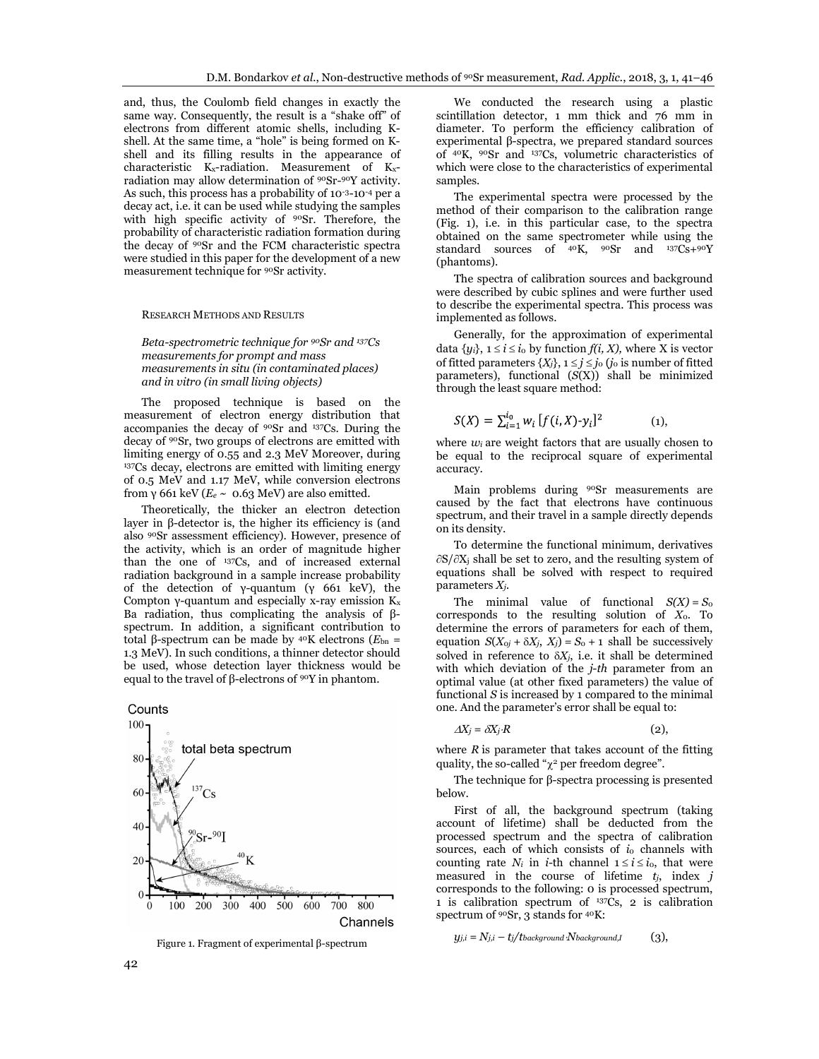and, thus, the Coulomb field changes in exactly the same way. Consequently, the result is a "shake off" of electrons from different atomic shells, including Kshell. At the same time, a "hole" is being formed on Kshell and its filling results in the appearance of characteristic K<sub>x</sub>-radiation. Measurement of K<sub>x</sub>radiation may allow determination of <sup>90</sup>Sr-<sup>90</sup>Y activity. As such, this process has a probability of 10<sup>-3</sup>-10<sup>-4</sup> per a decay act, i.e. it can be used while studying the samples with high specific activity of <sup>90</sup>Sr. Therefore, the probability of characteristic radiation formation during the decay of <sup>90</sup>Sr and the FCM characteristic spectra were studied in this paper for the development of a new measurement technique for <sup>90</sup>Sr activity.

### RESEARCH METHODS AND RESULTS

Beta-spectrometric technique for <sup>90</sup>Sr and <sup>137</sup>Cs measurements for prompt and mass measurements in situ (in contaminated places) and in vitro (in small living objects)

The proposed technique is based on the measurement of electron energy distribution that accompanies the decay of <sup>90</sup>Sr and <sup>137</sup>Cs. During the decay of <sup>90</sup>Sr, two groups of electrons are emitted with limiting energy of 0.55 and 2.3 MeV Moreover, during <sup>137</sup>Cs decay, electrons are emitted with limiting energy of 0.5 MeV and 1.17 MeV, while conversion electrons from γ 661 keV ( $E_e \sim 0.63$  MeV) are also emitted.

Theoretically, the thicker an electron detection layer in β-detector is, the higher its efficiency is (and also <sup>90</sup>Sr assessment efficiency). However, presence of the activity, which is an order of magnitude higher than the one of <sup>137</sup>Cs, and of increased external radiation background in a sample increase probability of the detection of γ-quantum (γ 661 keV), the Compton γ-quantum and especially x-ray emission  $K_x$ Ba radiation, thus complicating the analysis of βspectrum. In addition, a significant contribution to total β-spectrum can be made by  $40K$  electrons ( $E_{bn}$  = 1.3 MeV). In such conditions, a thinner detector should be used, whose detection layer thickness would be equal to the travel of β-electrons of  $90Y$  in phantom.

#### Counts



Figure 1. Fragment of experimental β-spectrum

We conducted the research using a plastic scintillation detector, 1 mm thick and 76 mm in diameter. To perform the efficiency calibration of experimental β-spectra, we prepared standard sources of <sup>40</sup>K, <sup>90</sup>Sr and <sup>137</sup>Cs, volumetric characteristics of which were close to the characteristics of experimental samples.

The experimental spectra were processed by the method of their comparison to the calibration range (Fig. 1), i.e. in this particular case, to the spectra obtained on the same spectrometer while using the standard sources of  $40K$ ,  $90Sr$  and  $137Cs + 90Y$ (phantoms).

The spectra of calibration sources and background were described by cubic splines and were further used to describe the experimental spectra. This process was implemented as follows.

Generally, for the approximation of experimental data  $\{y_i\}$ ,  $1 \le i \le i_0$  by function  $f(i, X)$ , where X is vector of fitted parameters  $\{X_i\}$ ,  $1 \le j \le j_0$   $(j_0$  is number of fitted parameters), functional  $(S(X))$  shall be minimized through the least square method:

$$
S(X) = \sum_{i=1}^{i_0} w_i [f(i, X) - y_i]^2
$$
 (1),

where  $w_i$  are weight factors that are usually chosen to be equal to the reciprocal square of experimental accuracy.

Main problems during 90Sr measurements are caused by the fact that electrons have continuous spectrum, and their travel in a sample directly depends on its density.

To determine the functional minimum, derivatives  $\partial S/\partial X_j$  shall be set to zero, and the resulting system of equations shall be solved with respect to required parameters  $X_i$ .

The minimal value of functional  $S(X) = S_0$ corresponds to the resulting solution of  $X_0$ . To determine the errors of parameters for each of them, equation  $S(X_{0j} + \delta X_j, X_j) = S_0 + 1$  shall be successively solved in reference to  $\delta X_j$ , i.e. it shall be determined with which deviation of the  $j$ -th parameter from an optimal value (at other fixed parameters) the value of functional  $S$  is increased by 1 compared to the minimal one. And the parameter's error shall be equal to:

$$
\Delta X_j = \delta X_j \cdot R \tag{2},
$$

where  $R$  is parameter that takes account of the fitting quality, the so-called " $\chi^2$  per freedom degree".

The technique for β-spectra processing is presented below.

First of all, the background spectrum (taking account of lifetime) shall be deducted from the processed spectrum and the spectra of calibration sources, each of which consists of  $i_0$  channels with counting rate  $N_i$  in *i*-th channel  $1 \le i \le i_0$ , that were measured in the course of lifetime  $t_i$ , index j corresponds to the following: 0 is processed spectrum, 1 is calibration spectrum of  $137\text{Cs}$ , 2 is calibration spectrum of  $90Sr$ , 3 stands for  $40K$ :

$$
y_{j,i} = N_{j,i} - t_j/t_{background} \cdot N_{background,I}
$$
 (3),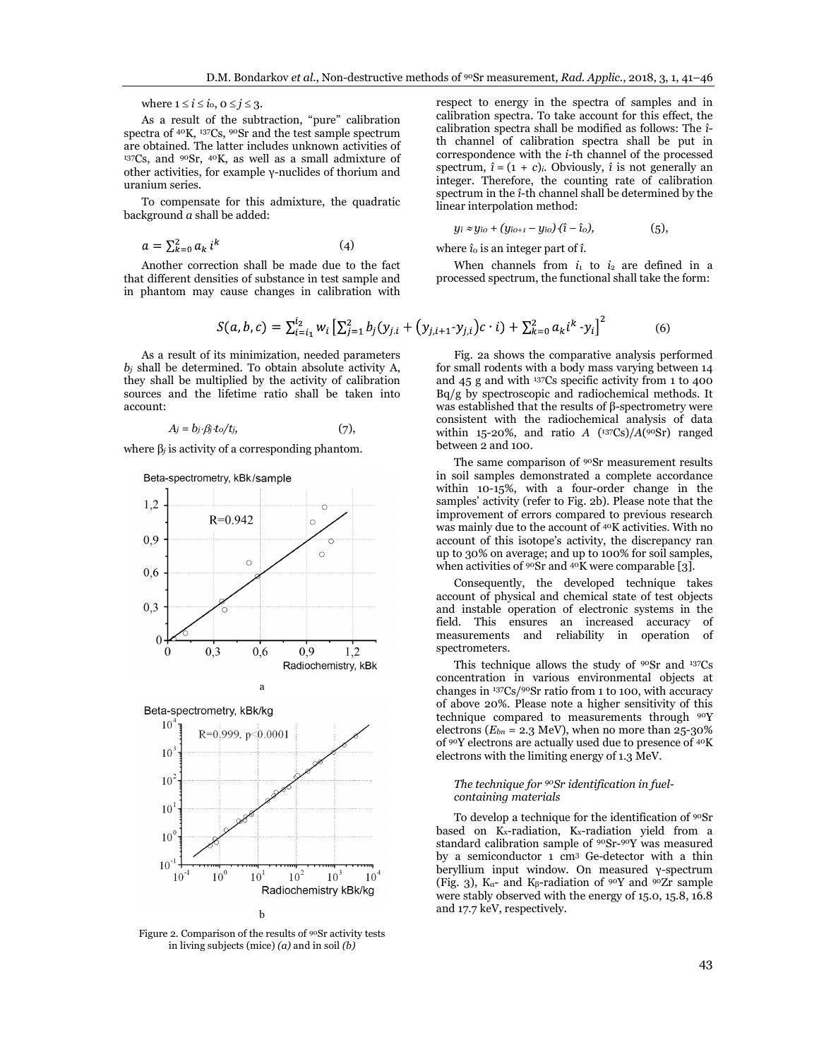where  $1 \le i \le i_0$ ,  $0 \le j \le 3$ .

As a result of the subtraction, "pure" calibration spectra of <sup>40</sup>K, <sup>137</sup>Cs, <sup>90</sup>Sr and the test sample spectrum are obtained. The latter includes unknown activities of <sup>137</sup>Cs, and <sup>90</sup>Sr, <sup>40</sup>K, as well as a small admixture of other activities, for example γ-nuclides of thorium and uranium series.

To compensate for this admixture, the quadratic background  $a$  shall be added:

$$
a = \sum_{k=0}^{2} a_k i^k \tag{4}
$$

Another correction shall be made due to the fact that different densities of substance in test sample and in phantom may cause changes in calibration with

 $S(a, b, c) = \sum_{i=i_1}^{i_2} w_i \left[ \sum_{j=1}^{2} b_j (y_{j,i} + (y_{j,i+1} - y_{j,i}) c \cdot i) + \sum_{k=0}^{2} a_k i^k - y_i \right]^2$ 

between 2 and 100.

As a result of its minimization, needed parameters  $b_j$  shall be determined. To obtain absolute activity A, they shall be multiplied by the activity of calibration sources and the lifetime ratio shall be taken into account:

$$
A_j = b_j \cdot \beta_j \cdot t_o/t_j, \qquad (7),
$$

where  $\beta_i$  is activity of a corresponding phantom.



Figure 2. Comparison of the results of <sup>90</sup>Sr activity tests in living subjects (mice)  $(a)$  and in soil  $(b)$ 

processed spectrum, the functional shall take the form: (6) Fig. 2a shows the comparative analysis performed for small rodents with a body mass varying between 14 and 45 g and with <sup>137</sup>Cs specific activity from 1 to 400 Bq/g by spectroscopic and radiochemical methods. It was established that the results of β-spectrometry were consistent with the radiochemical analysis of data

The same comparison of <sup>90</sup>Sr measurement results in soil samples demonstrated a complete accordance within 10-15%, with a four-order change in the samples' activity (refer to Fig. 2b). Please note that the improvement of errors compared to previous research was mainly due to the account of <sup>40</sup>K activities. With no account of this isotope's activity, the discrepancy ran up to 30% on average; and up to 100% for soil samples, when activities of  $90$ Sr and  $40$ K were comparable [3].

within  $15{\text -}20\%$ , and ratio  $A(137Cs)/A(90Sr)$  ranged

Consequently, the developed technique takes account of physical and chemical state of test objects and instable operation of electronic systems in the field. This ensures an increased accuracy of measurements and reliability in operation of spectrometers.

This technique allows the study of <sup>90</sup>Sr and <sup>137</sup>Cs concentration in various environmental objects at changes in <sup>137</sup>Cs/<sup>90</sup>Sr ratio from 1 to 100, with accuracy of above 20%. Please note a higher sensitivity of this technique compared to measurements through 90Y electrons ( $E_{bn} = 2.3$  MeV), when no more than  $25-30\%$ of <sup>90</sup>Y electrons are actually used due to presence of <sup>40</sup>K electrons with the limiting energy of 1.3 MeV.

#### The technique for <sup>90</sup>Sr identification in fuelcontaining materials

To develop a technique for the identification of 90Sr based on  $K_x$ -radiation,  $K_x$ -radiation yield from a standard calibration sample of <sup>90</sup>Sr-<sup>90</sup>Y was measured by a semiconductor 1 cm<sup>3</sup>Ge-detector with a thin beryllium input window. On measured γ-spectrum (Fig. 3),  $K_{\alpha}$ - and  $K_{\beta}$ -radiation of 90Y and 90Zr sample were stably observed with the energy of 15.0, 15.8, 16.8 and 17.7 keV, respectively.

respect to energy in the spectra of samples and in calibration spectra. To take account for this effect, the calibration spectra shall be modified as follows: The îth channel of calibration spectra shall be put in correspondence with the i-th channel of the processed spectrum,  $\hat{i} = (1 + c)i$ . Obviously,  $\hat{i}$  is not generally an integer. Therefore, the counting rate of calibration spectrum in the î-th channel shall be determined by the linear interpolation method:

 $y_i \approx y_{io} + (y_{io+i} - y_{io}) \cdot (\hat{i} - \hat{i}_o),$  (5),

where  $\hat{i}$  is an integer part of  $\hat{i}$ .

When channels from  $i_1$  to  $i_2$  are defined in a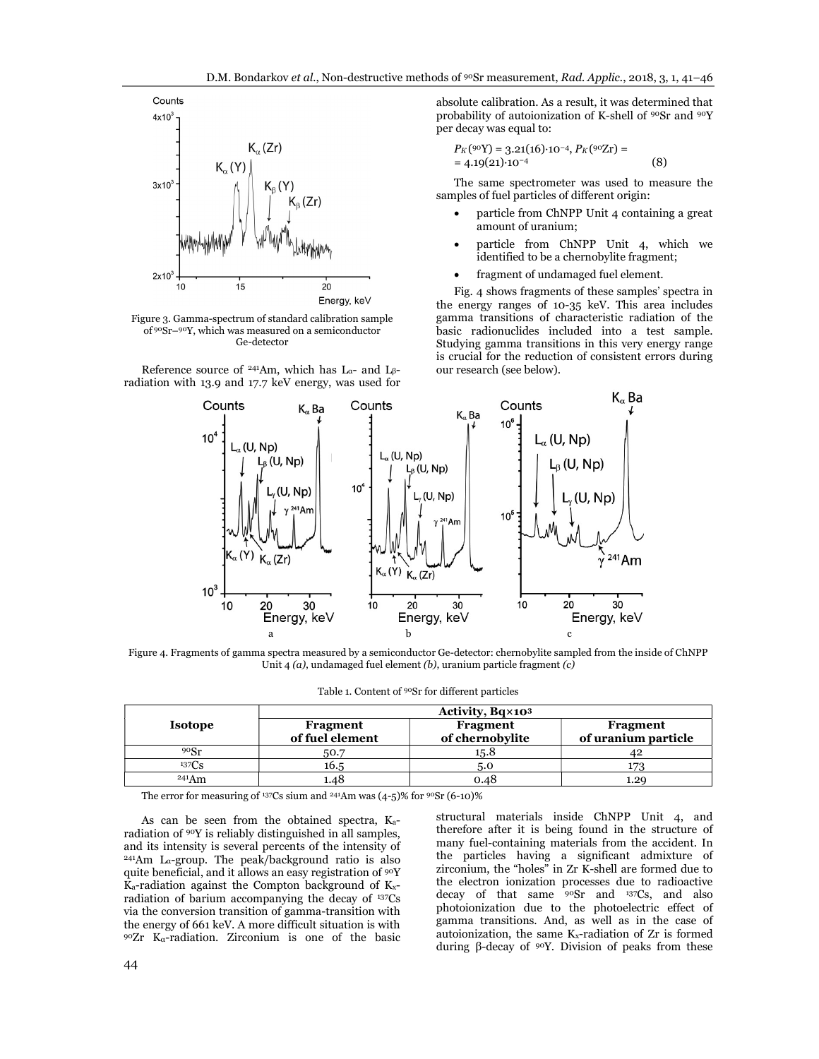

Figure 3. Gamma-spectrum of standard calibration sample of 90Sr-90Y, which was measured on a semiconductor Ge-detector

Reference source of <sup>241</sup>Am, which has  $L_{\alpha}$ - and  $L_{\beta}$ radiation with 13.9 and 17.7 keV energy, was used for absolute calibration. As a result, it was determined that probability of autoionization of K-shell of 90Sr and 90Y per decay was equal to:

$$
P_K(^{90}Y) = 3.21(16) \cdot 10^{-4}, P_K(^{90}Zr) = 4.19(21) \cdot 10^{-4}
$$
 (8)

The same spectrometer was used to measure the samples of fuel particles of different origin:

- particle from ChNPP Unit 4 containing a great amount of uranium;
- particle from ChNPP Unit 4, which we identified to be a chernobylite fragment;
- fragment of undamaged fuel element.

Fig. 4 shows fragments of these samples' spectra in the energy ranges of 10-35 keV. This area includes gamma transitions of characteristic radiation of the basic radionuclides included into a test sample. Studying gamma transitions in this very energy range is crucial for the reduction of consistent errors during our research (see below).



Figure 4. Fragments of gamma spectra measured by a semiconductor Ge-detector: chernobylite sampled from the inside of ChNPP Unit  $4(a)$ , undamaged fuel element  $(b)$ , uranium particle fragment  $(c)$ 

|                | Activity, Bq×103            |                             |                                 |
|----------------|-----------------------------|-----------------------------|---------------------------------|
| <b>Isotope</b> | Fragment<br>of fuel element | Fragment<br>of chernobylite | Fragment<br>of uranium particle |
| 90Sr           | 50.7                        | 15.8                        |                                 |
| 137Cs          | 16.5                        | 5.0                         |                                 |
| 241Am          | 48                          | 0.48                        | 1.2c                            |

The error for measuring of <sup>137</sup>Cs sium and <sup>241</sup>Am was (4-5)% for <sup>90</sup>Sr (6-10)%

As can be seen from the obtained spectra, Karadiation of <sup>90</sup>Y is reliably distinguished in all samples, and its intensity is several percents of the intensity of <sup>241</sup>Am L<sub>α</sub>-group. The peak/background ratio is also quite beneficial, and it allows an easy registration of <sup>90</sup>Y Ka-radiation against the Compton background of Kxradiation of barium accompanying the decay of <sup>137</sup>Cs via the conversion transition of gamma-transition with the energy of 661 keV. A more difficult situation is with  $90Zr$  K<sub>a</sub>-radiation. Zirconium is one of the basic

structural materials inside ChNPP Unit 4, and therefore after it is being found in the structure of many fuel-containing materials from the accident. In the particles having a significant admixture of zirconium, the "holes" in  $Zr$  K-shell are formed due to the electron ionization processes due to radioactive decay of that same <sup>90</sup>Sr and <sup>137</sup>Cs, and also photoionization due to the photoelectric effect of gamma transitions. And, as well as in the case of autoionization, the same Kx-radiation of Zr is formed during β-decay of 90Y. Division of peaks from these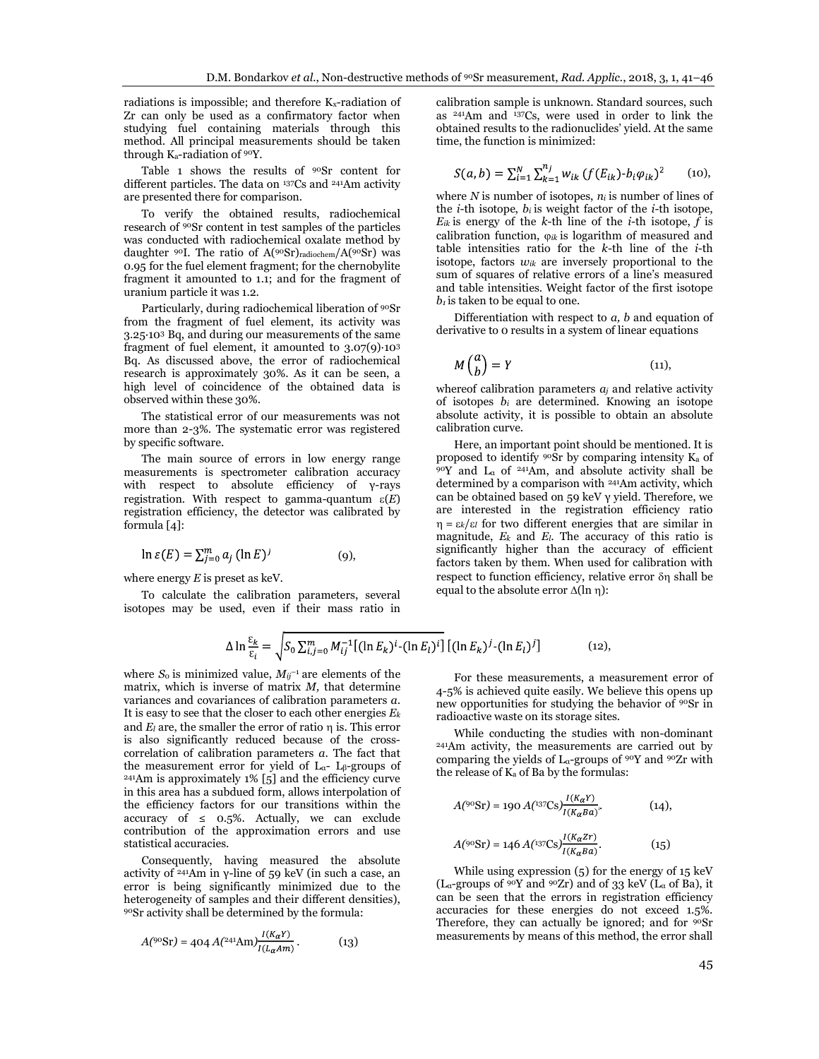radiations is impossible; and therefore Kx-radiation of Zr can only be used as a confirmatory factor when studying fuel containing materials through this method. All principal measurements should be taken through Ka-radiation of <sup>90</sup>Y.

Table 1 shows the results of <sup>90</sup>Sr content for different particles. The data on <sup>137</sup>Cs and <sup>241</sup>Am activity are presented there for comparison.

To verify the obtained results, radiochemical research of <sup>90</sup>Sr content in test samples of the particles was conducted with radiochemical oxalate method by daughter  $90I$ . The ratio of  $A(90Sr)_{radiochem}/A(90Sr)$  was 0.95 for the fuel element fragment; for the chernobylite fragment it amounted to 1.1; and for the fragment of uranium particle it was 1.2.

Particularly, during radiochemical liberation of 90Sr from the fragment of fuel element, its activity was 3.25∙10<sup>3</sup> Bq, and during our measurements of the same fragment of fuel element, it amounted to 3.07(9)∙10<sup>3</sup> Bq. As discussed above, the error of radiochemical research is approximately 30%. As it can be seen, a high level of coincidence of the obtained data is observed within these 30%.

The statistical error of our measurements was not more than 2-3%. The systematic error was registered by specific software.

The main source of errors in low energy range measurements is spectrometer calibration accuracy with respect to absolute efficiency of γ-rays registration. With respect to gamma-quantum  $\varepsilon(E)$ registration efficiency, the detector was calibrated by formula [4]:

$$
\ln \varepsilon(E) = \sum_{j=0}^{m} a_j (\ln E)^j \tag{9},
$$

where energy  $E$  is preset as keV.

To calculate the calibration parameters, several isotopes may be used, even if their mass ratio in calibration sample is unknown. Standard sources, such as <sup>241</sup>Am and <sup>137</sup>Cs, were used in order to link the obtained results to the radionuclides' yield. At the same time, the function is minimized:

$$
S(a,b) = \sum_{i=1}^{N} \sum_{k=1}^{n_j} w_{ik} (f(E_{ik}) - b_i \varphi_{ik})^2
$$
 (10),

where  $N$  is number of isotopes,  $n_i$  is number of lines of the *i*-th isotope,  $b_i$  is weight factor of the *i*-th isotope,  $E_{ik}$  is energy of the k-th line of the *i*-th isotope, f is calibration function,  $\varphi_{ik}$  is logarithm of measured and table intensities ratio for the  $k$ -th line of the  $i$ -th isotope, factors  $w_{ik}$  are inversely proportional to the sum of squares of relative errors of a line's measured and table intensities. Weight factor of the first isotope  $b_1$  is taken to be equal to one.

Differentiation with respect to  $a$ ,  $b$  and equation of derivative to 0 results in a system of linear equations

$$
M\left(\begin{matrix}a\\b\end{matrix}\right)=Y\tag{11},
$$

whereof calibration parameters  $a_j$  and relative activity of isotopes  $b_i$  are determined. Knowing an isotope absolute activity, it is possible to obtain an absolute calibration curve.

Here, an important point should be mentioned. It is proposed to identify  $90Sr$  by comparing intensity  $K_a$  of  $90Y$  and L<sub>α</sub> of <sup>241</sup>Am, and absolute activity shall be determined by a comparison with <sup>241</sup>Am activity, which can be obtained based on 59 keV γ yield. Therefore, we are interested in the registration efficiency ratio  $\eta = \varepsilon_k/\varepsilon_l$  for two different energies that are similar in magnitude,  $E_k$  and  $E_l$ . The accuracy of this ratio is significantly higher than the accuracy of efficient factors taken by them. When used for calibration with respect to function efficiency, relative error  $\delta \eta$  shall be equal to the absolute error  $\Delta(\ln \eta)$ :

$$
\Delta \ln \frac{\varepsilon_k}{\varepsilon_i} = \sqrt{S_0 \sum_{i,j=0}^m M_{ij}^{-1} [( \ln E_k)^i - (\ln E_l)^i ]} \left[ (\ln E_k)^j - (\ln E_l)^j \right] \tag{12},
$$

where  $S_0$  is minimized value,  $M_{ij}$ <sup>-1</sup> are elements of the matrix, which is inverse of matrix  $M$ , that determine variances and covariances of calibration parameters a. It is easy to see that the closer to each other energies  $E_k$ and  $E_l$  are, the smaller the error of ratio  $\eta$  is. This error is also significantly reduced because of the crosscorrelation of calibration parameters a. The fact that the measurement error for yield of  $L_{\alpha}$ -  $L_{\beta}$ -groups of <sup>241</sup>Am is approximately 1% [5] and the efficiency curve in this area has a subdued form, allows interpolation of the efficiency factors for our transitions within the accuracy of  $\leq$  0.5%. Actually, we can exclude contribution of the approximation errors and use statistical accuracies.

Consequently, having measured the absolute activity of <sup>241</sup>Am in γ-line of 59 keV (in such a case, an error is being significantly minimized due to the heterogeneity of samples and their different densities), <sup>90</sup>Sr activity shall be determined by the formula:

$$
A(^{90}\mathrm{Sr}) = 404 \, A(^{241}\mathrm{Am}) \frac{I(K_{\alpha}Y)}{I(L_{\alpha}Am)} \,. \tag{13}
$$

For these measurements, a measurement error of 4-5% is achieved quite easily. We believe this opens up new opportunities for studying the behavior of <sup>90</sup>Sr in radioactive waste on its storage sites.

While conducting the studies with non-dominant <sup>241</sup>Am activity, the measurements are carried out by comparing the yields of  $L_{\alpha}$ -groups of <sup>90</sup>Y and <sup>90</sup>Zr with the release of  $K_a$  of Ba by the formulas:

$$
A(^{90}\mathrm{Sr}) = 190 \, A(^{137}\mathrm{Cs}) \frac{I(K_{\alpha}Y)}{I(K_{\alpha}Ba)^{k}} \tag{14},
$$

$$
A(^{90}\mathrm{Sr}) = 146 \, A(^{137}\mathrm{Cs}) \frac{I(K_{\alpha}Zr)}{I(K_{\alpha}Ba)}.\tag{15}
$$

While using expression (5) for the energy of 15 keV (L<sub>α</sub>-groups of  $90Y$  and  $90Zr$ ) and of 33 keV (L<sub>α</sub> of Ba), it can be seen that the errors in registration efficiency accuracies for these energies do not exceed 1.5%. Therefore, they can actually be ignored; and for  $90\text{Sr}$ measurements by means of this method, the error shall